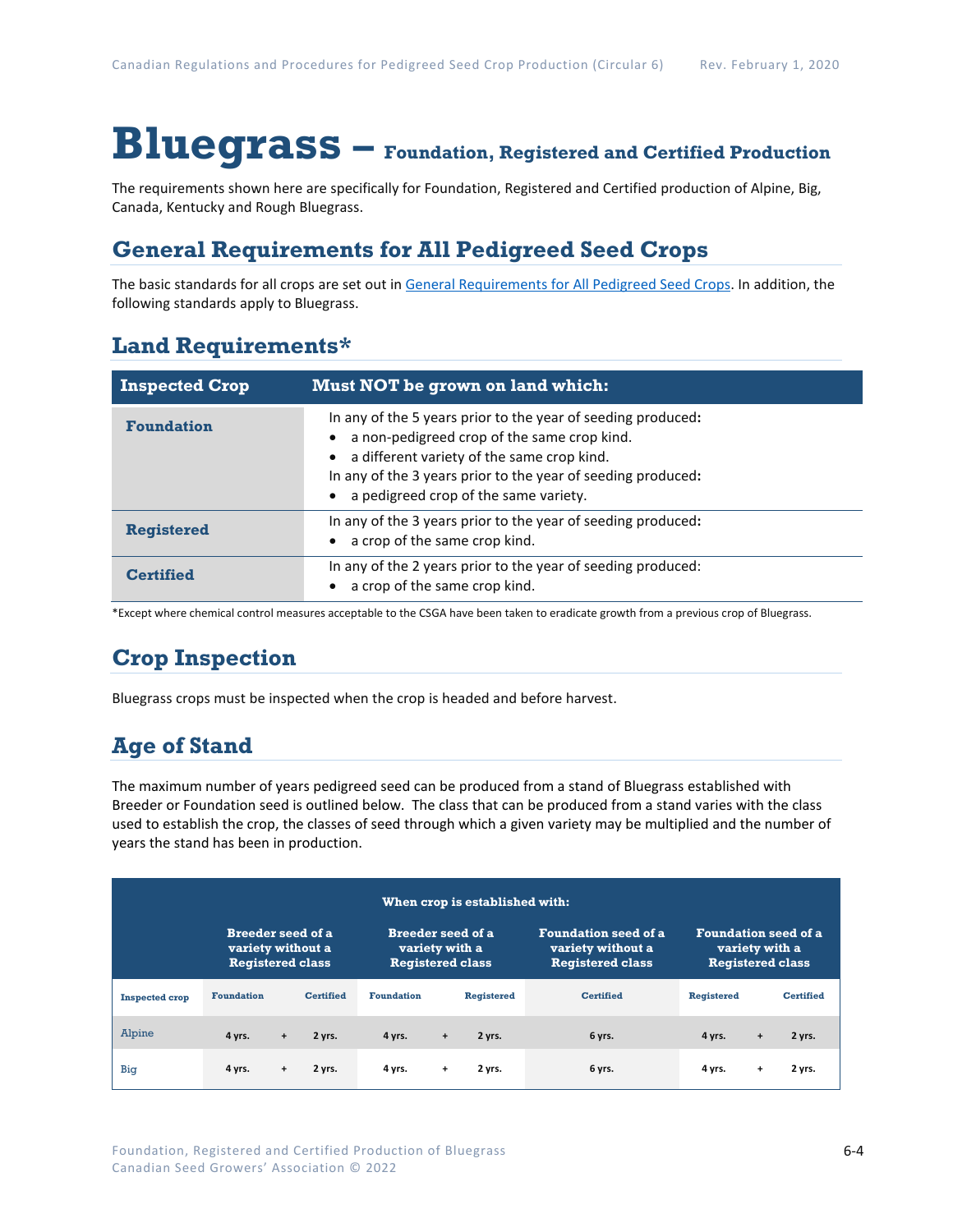# **Bluegrass – Foundation, Registered and Certified Production**

The requirements shown here are specifically for Foundation, Registered and Certified production of Alpine, Big, Canada, Kentucky and Rough Bluegrass.

### **General Requirements for All Pedigreed Seed Crops**

The basic standards for all crops are set out i[n General Requirements for All Pedigreed Seed](https://seedgrowers.ca/wp-content/uploads/2020/01/GENERAL-REQUIREMENTS-ALL-CROPS_EN.pdf) Crops. In addition, the following standards apply to Bluegrass.

### **Land Requirements\***

| <b>Inspected Crop</b> | Must NOT be grown on land which:                                                                                                                                                                                                                                   |
|-----------------------|--------------------------------------------------------------------------------------------------------------------------------------------------------------------------------------------------------------------------------------------------------------------|
| <b>Foundation</b>     | In any of the 5 years prior to the year of seeding produced:<br>a non-pedigreed crop of the same crop kind.<br>a different variety of the same crop kind.<br>In any of the 3 years prior to the year of seeding produced:<br>a pedigreed crop of the same variety. |
| <b>Registered</b>     | In any of the 3 years prior to the year of seeding produced:<br>a crop of the same crop kind.                                                                                                                                                                      |
| <b>Certified</b>      | In any of the 2 years prior to the year of seeding produced:<br>a crop of the same crop kind.                                                                                                                                                                      |

\*Except where chemical control measures acceptable to the CSGA have been taken to eradicate growth from a previous crop of Bluegrass.

## **Crop Inspection**

Bluegrass crops must be inspected when the crop is headed and before harvest.

### **Age of Stand**

The maximum number of years pedigreed seed can be produced from a stand of Bluegrass established with Breeder or Foundation seed is outlined below. The class that can be produced from a stand varies with the class used to establish the crop, the classes of seed through which a given variety may be multiplied and the number of years the stand has been in production.

| When crop is established with: |                                                                          |           |                                                                       |                   |     |                                                                             |                                                                          |                   |           |                  |
|--------------------------------|--------------------------------------------------------------------------|-----------|-----------------------------------------------------------------------|-------------------|-----|-----------------------------------------------------------------------------|--------------------------------------------------------------------------|-------------------|-----------|------------------|
|                                | <b>Breeder seed of a</b><br>variety without a<br><b>Registered class</b> |           | <b>Breeder seed of a</b><br>variety with a<br><b>Registered class</b> |                   |     | <b>Foundation seed of a</b><br>variety without a<br><b>Registered class</b> | <b>Foundation seed of a</b><br>variety with a<br><b>Registered class</b> |                   |           |                  |
| <b>Inspected crop</b>          | <b>Foundation</b>                                                        |           | <b>Certified</b>                                                      | <b>Foundation</b> |     | <b>Registered</b>                                                           | <b>Certified</b>                                                         | <b>Registered</b> |           | <b>Certified</b> |
| Alpine                         | 4 yrs.                                                                   | $+$       | 2 yrs.                                                                | 4 yrs.            | $+$ | 2 yrs.                                                                      | 6 yrs.                                                                   | 4 yrs.            | $\ddot{}$ | 2 yrs.           |
| Big                            | 4 yrs.                                                                   | $\ddot{}$ | 2 yrs.                                                                | 4 yrs.            | $+$ | 2 yrs.                                                                      | 6 yrs.                                                                   | 4 yrs.            | $\ddot{}$ | 2 yrs.           |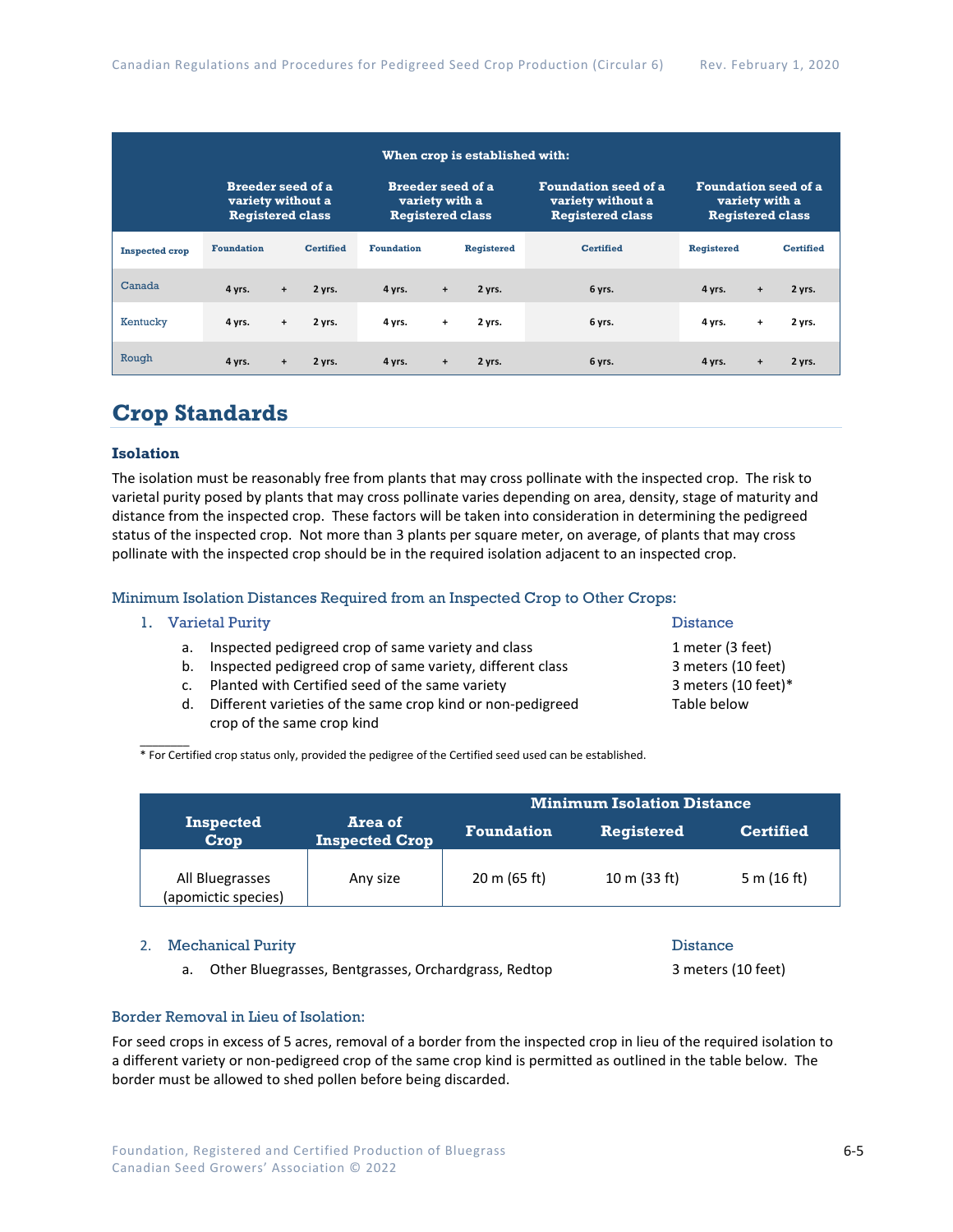| When crop is established with: |                                                                          |     |                  |                                                                       |           |                   |                                                                             |                                                                          |           |                  |
|--------------------------------|--------------------------------------------------------------------------|-----|------------------|-----------------------------------------------------------------------|-----------|-------------------|-----------------------------------------------------------------------------|--------------------------------------------------------------------------|-----------|------------------|
|                                | <b>Breeder seed of a</b><br>variety without a<br><b>Registered class</b> |     |                  | <b>Breeder seed of a</b><br>variety with a<br><b>Registered class</b> |           |                   | <b>Foundation seed of a</b><br>variety without a<br><b>Registered class</b> | <b>Foundation seed of a</b><br>variety with a<br><b>Registered class</b> |           |                  |
| <b>Inspected crop</b>          | <b>Foundation</b>                                                        |     | <b>Certified</b> | <b>Foundation</b>                                                     |           | <b>Registered</b> | <b>Certified</b>                                                            | Registered                                                               |           | <b>Certified</b> |
| Canada                         | 4 yrs.                                                                   | $+$ | 2 yrs.           | 4 yrs.                                                                | $\ddot{}$ | 2 yrs.            | 6 yrs.                                                                      | 4 yrs.                                                                   | $+$       | 2 yrs.           |
| Kentucky                       | 4 yrs.                                                                   | $+$ | 2 yrs.           | 4 yrs.                                                                | $\ddot{}$ | 2 yrs.            | 6 yrs.                                                                      | 4 yrs.                                                                   | $\ddot{}$ | 2 yrs.           |
| Rough                          | 4 yrs.                                                                   | $+$ | 2 yrs.           | 4 yrs.                                                                | $\ddot{}$ | 2 yrs.            | 6 yrs.                                                                      | 4 yrs.                                                                   | $\ddot{}$ | 2 yrs.           |

### **Crop Standards**

#### **Isolation**

The isolation must be reasonably free from plants that may cross pollinate with the inspected crop. The risk to varietal purity posed by plants that may cross pollinate varies depending on area, density, stage of maturity and distance from the inspected crop. These factors will be taken into consideration in determining the pedigreed status of the inspected crop. Not more than 3 plants per square meter, on average, of plants that may cross pollinate with the inspected crop should be in the required isolation adjacent to an inspected crop.

#### Minimum Isolation Distances Required from an Inspected Crop to Other Crops:

#### 1. Varietal Purity **Distance**

 $\mathcal{L}$ 

- a. Inspected pedigreed crop of same variety and class 1 meter (3 feet)
- b. Inspected pedigreed crop of same variety, different class 3 meters (10 feet)
- c. Planted with Certified seed of the same variety **3** meters (10 feet)\*
- d. Different varieties of the same crop kind or non-pedigreed Table below crop of the same crop kind

\* For Certified crop status only, provided the pedigree of the Certified seed used can be established.

|                                        | <b>Minimum Isolation Distance</b> |                   |                   |                  |  |  |
|----------------------------------------|-----------------------------------|-------------------|-------------------|------------------|--|--|
| <b>Inspected</b><br>Crop               | Area of<br><b>Inspected Crop</b>  | <b>Foundation</b> | <b>Registered</b> | <b>Certified</b> |  |  |
| All Bluegrasses<br>(apomictic species) | Any size                          | 20 m (65 ft)      | 10 m $(33 ft)$    | 5 m (16 ft)      |  |  |

#### 2. Mechanical Purity **Distance** Distance

a. Other Bluegrasses, Bentgrasses, Orchardgrass, Redtop 3 meters (10 feet)

#### Border Removal in Lieu of Isolation:

For seed crops in excess of 5 acres, removal of a border from the inspected crop in lieu of the required isolation to a different variety or non-pedigreed crop of the same crop kind is permitted as outlined in the table below. The border must be allowed to shed pollen before being discarded.